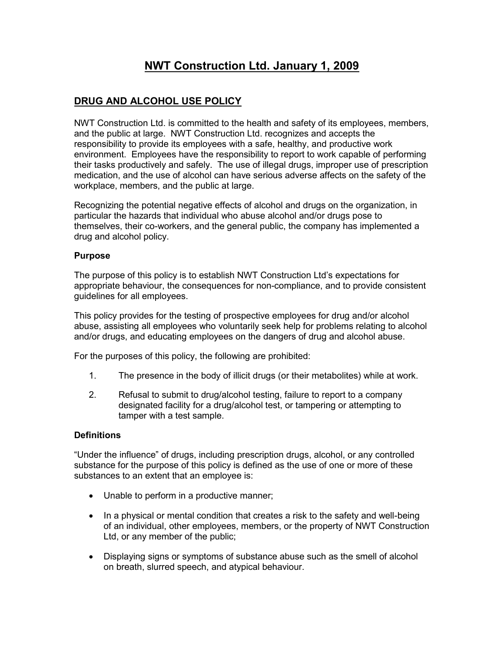# **NWT Construction Ltd. January 1, 2009**

# **DRUG AND ALCOHOL USE POLICY**

NWT Construction Ltd. is committed to the health and safety of its employees, members, and the public at large. NWT Construction Ltd. recognizes and accepts the responsibility to provide its employees with a safe, healthy, and productive work environment. Employees have the responsibility to report to work capable of performing their tasks productively and safely. The use of illegal drugs, improper use of prescription medication, and the use of alcohol can have serious adverse affects on the safety of the workplace, members, and the public at large.

Recognizing the potential negative effects of alcohol and drugs on the organization, in particular the hazards that individual who abuse alcohol and/or drugs pose to themselves, their co-workers, and the general public, the company has implemented a drug and alcohol policy.

#### **Purpose**

The purpose of this policy is to establish NWT Construction Ltd's expectations for appropriate behaviour, the consequences for non-compliance, and to provide consistent guidelines for all employees.

This policy provides for the testing of prospective employees for drug and/or alcohol abuse, assisting all employees who voluntarily seek help for problems relating to alcohol and/or drugs, and educating employees on the dangers of drug and alcohol abuse.

For the purposes of this policy, the following are prohibited:

- 1. The presence in the body of illicit drugs (or their metabolites) while at work.
- 2. Refusal to submit to drug/alcohol testing, failure to report to a company designated facility for a drug/alcohol test, or tampering or attempting to tamper with a test sample.

## **Definitions**

"Under the influence" of drugs, including prescription drugs, alcohol, or any controlled substance for the purpose of this policy is defined as the use of one or more of these substances to an extent that an employee is:

- Unable to perform in a productive manner;
- In a physical or mental condition that creates a risk to the safety and well-being of an individual, other employees, members, or the property of NWT Construction Ltd, or any member of the public;
- Displaying signs or symptoms of substance abuse such as the smell of alcohol on breath, slurred speech, and atypical behaviour.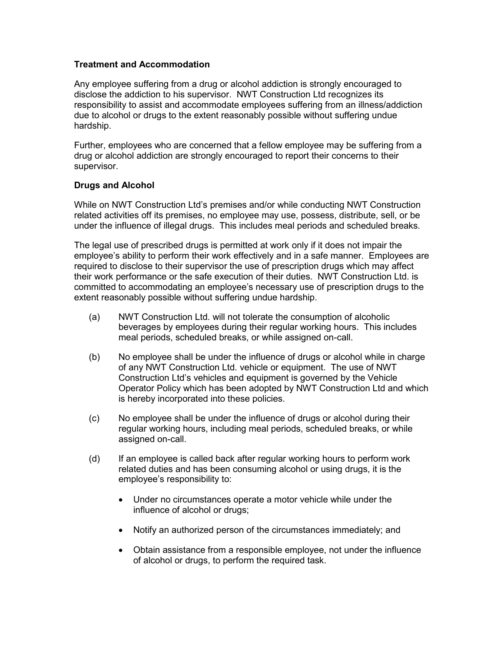## **Treatment and Accommodation**

Any employee suffering from a drug or alcohol addiction is strongly encouraged to disclose the addiction to his supervisor. NWT Construction Ltd recognizes its responsibility to assist and accommodate employees suffering from an illness/addiction due to alcohol or drugs to the extent reasonably possible without suffering undue hardship.

Further, employees who are concerned that a fellow employee may be suffering from a drug or alcohol addiction are strongly encouraged to report their concerns to their supervisor.

#### **Drugs and Alcohol**

While on NWT Construction Ltd's premises and/or while conducting NWT Construction related activities off its premises, no employee may use, possess, distribute, sell, or be under the influence of illegal drugs. This includes meal periods and scheduled breaks.

The legal use of prescribed drugs is permitted at work only if it does not impair the employee's ability to perform their work effectively and in a safe manner. Employees are required to disclose to their supervisor the use of prescription drugs which may affect their work performance or the safe execution of their duties. NWT Construction Ltd. is committed to accommodating an employee's necessary use of prescription drugs to the extent reasonably possible without suffering undue hardship.

- (a) NWT Construction Ltd. will not tolerate the consumption of alcoholic beverages by employees during their regular working hours. This includes meal periods, scheduled breaks, or while assigned on-call.
- (b) No employee shall be under the influence of drugs or alcohol while in charge of any NWT Construction Ltd. vehicle or equipment. The use of NWT Construction Ltd's vehicles and equipment is governed by the Vehicle Operator Policy which has been adopted by NWT Construction Ltd and which is hereby incorporated into these policies.
- (c) No employee shall be under the influence of drugs or alcohol during their regular working hours, including meal periods, scheduled breaks, or while assigned on-call.
- (d) If an employee is called back after regular working hours to perform work related duties and has been consuming alcohol or using drugs, it is the employee's responsibility to:
	- Under no circumstances operate a motor vehicle while under the influence of alcohol or drugs;
	- Notify an authorized person of the circumstances immediately; and
	- Obtain assistance from a responsible employee, not under the influence of alcohol or drugs, to perform the required task.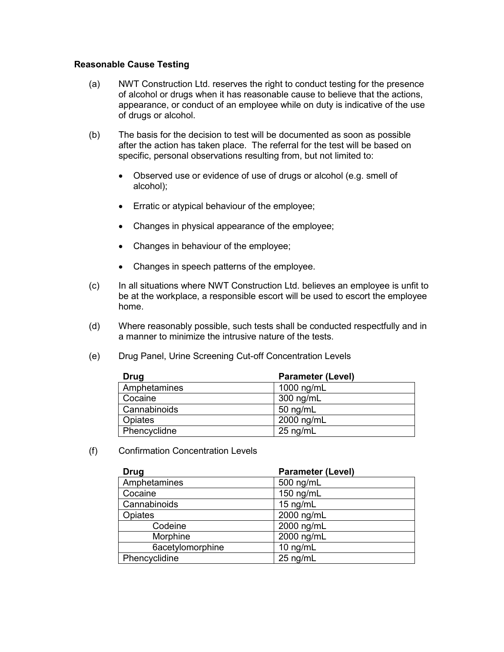#### **Reasonable Cause Testing**

- (a) NWT Construction Ltd. reserves the right to conduct testing for the presence of alcohol or drugs when it has reasonable cause to believe that the actions, appearance, or conduct of an employee while on duty is indicative of the use of drugs or alcohol.
- (b) The basis for the decision to test will be documented as soon as possible after the action has taken place. The referral for the test will be based on specific, personal observations resulting from, but not limited to:
	- Observed use or evidence of use of drugs or alcohol (e.g. smell of alcohol);
	- **Erratic or atypical behaviour of the employee;**
	- Changes in physical appearance of the employee;
	- Changes in behaviour of the employee;
	- Changes in speech patterns of the employee.
- (c) In all situations where NWT Construction Ltd. believes an employee is unfit to be at the workplace, a responsible escort will be used to escort the employee home.
- (d) Where reasonably possible, such tests shall be conducted respectfully and in a manner to minimize the intrusive nature of the tests.
- (e) Drug Panel, Urine Screening Cut-off Concentration Levels

| Drug         | <b>Parameter (Level)</b> |
|--------------|--------------------------|
| Amphetamines | 1000 ng/mL               |
| Cocaine      | 300 ng/mL                |
| Cannabinoids | $50$ ng/mL               |
| Opiates      | 2000 ng/mL               |
| Phencyclidne | $25$ ng/mL               |

(f) Confirmation Concentration Levels

| <b>Drug</b>      | <b>Parameter (Level)</b> |
|------------------|--------------------------|
| Amphetamines     | 500 ng/mL                |
| Cocaine          | 150 ng/mL                |
| Cannabinoids     | 15 ng/mL                 |
| Opiates          | 2000 ng/mL               |
| Codeine          | 2000 ng/mL               |
| Morphine         | 2000 ng/mL               |
| 6acetylomorphine | 10 ng/mL                 |
| Phencyclidine    | 25 ng/mL                 |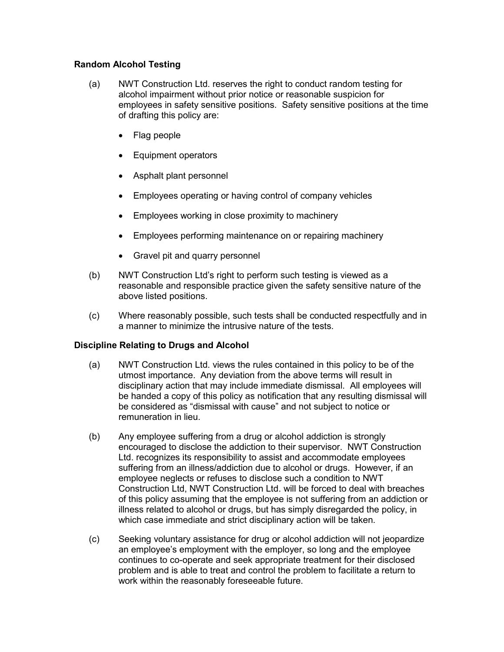## **Random Alcohol Testing**

- (a) NWT Construction Ltd. reserves the right to conduct random testing for alcohol impairment without prior notice or reasonable suspicion for employees in safety sensitive positions. Safety sensitive positions at the time of drafting this policy are:
	- Flag people
	- Equipment operators
	- Asphalt plant personnel
	- Employees operating or having control of company vehicles
	- Employees working in close proximity to machinery
	- Employees performing maintenance on or repairing machinery
	- Gravel pit and quarry personnel
- (b) NWT Construction Ltd's right to perform such testing is viewed as a reasonable and responsible practice given the safety sensitive nature of the above listed positions.
- (c) Where reasonably possible, such tests shall be conducted respectfully and in a manner to minimize the intrusive nature of the tests.

## **Discipline Relating to Drugs and Alcohol**

- (a) NWT Construction Ltd. views the rules contained in this policy to be of the utmost importance. Any deviation from the above terms will result in disciplinary action that may include immediate dismissal. All employees will be handed a copy of this policy as notification that any resulting dismissal will be considered as "dismissal with cause" and not subject to notice or remuneration in lieu.
- (b) Any employee suffering from a drug or alcohol addiction is strongly encouraged to disclose the addiction to their supervisor. NWT Construction Ltd. recognizes its responsibility to assist and accommodate employees suffering from an illness/addiction due to alcohol or drugs. However, if an employee neglects or refuses to disclose such a condition to NWT Construction Ltd, NWT Construction Ltd. will be forced to deal with breaches of this policy assuming that the employee is not suffering from an addiction or illness related to alcohol or drugs, but has simply disregarded the policy, in which case immediate and strict disciplinary action will be taken.
- (c) Seeking voluntary assistance for drug or alcohol addiction will not jeopardize an employee's employment with the employer, so long and the employee continues to co-operate and seek appropriate treatment for their disclosed problem and is able to treat and control the problem to facilitate a return to work within the reasonably foreseeable future.